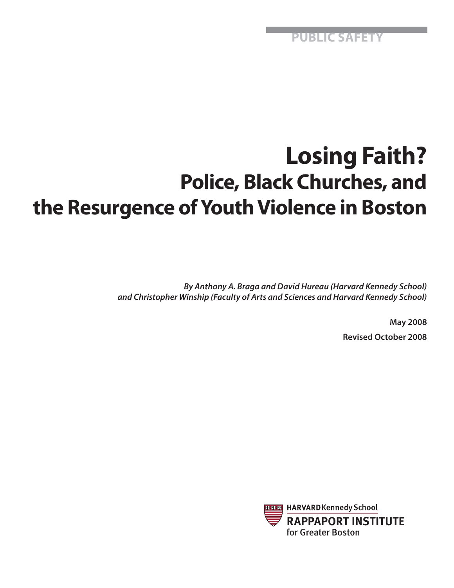**PUBLIC SAFETY**

# **Losing Faith? Police, Black Churches, and the Resurgence of Youth Violence in Boston**

*By Anthony A. Braga and David Hureau (Harvard Kennedy School) and Christopher Winship (Faculty of Arts and Sciences and Harvard Kennedy School)*

> **May 2008 Revised October 2008**

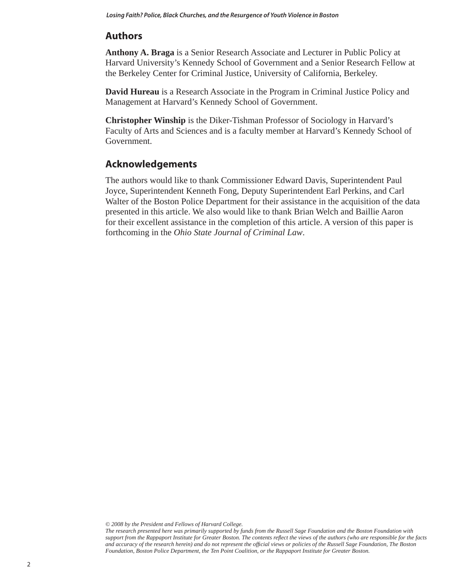# **Authors**

**Anthony A. Braga** is a Senior Research Associate and Lecturer in Public Policy at Harvard University's Kennedy School of Government and a Senior Research Fellow at the Berkeley Center for Criminal Justice, University of California, Berkeley.

**David Hureau** is a Research Associate in the Program in Criminal Justice Policy and Management at Harvard's Kennedy School of Government.

**Christopher Winship** is the Diker-Tishman Professor of Sociology in Harvard's Faculty of Arts and Sciences and is a faculty member at Harvard's Kennedy School of Government.

## **Acknowledgements**

The authors would like to thank Commissioner Edward Davis, Superintendent Paul Joyce, Superintendent Kenneth Fong, Deputy Superintendent Earl Perkins, and Carl Walter of the Boston Police Department for their assistance in the acquisition of the data presented in this article. We also would like to thank Brian Welch and Baillie Aaron for their excellent assistance in the completion of this article. A version of this paper is forthcoming in the *Ohio State Journal of Criminal Law*.

*© 2008 by the President and Fellows of Harvard College.* 

*The research presented here was primarily supported by funds from the Russell Sage Foundation and the Boston Foundation with*  support from the Rappaport Institute for Greater Boston. The contents reflect the views of the authors (who are responsible for the facts *and accuracy of the research herein) and do not represent the offi cial views or policies of the Russell Sage Foundation, The Boston Foundation, Boston Police Department, the Ten Point Coalition, or the Rappaport Institute for Greater Boston.*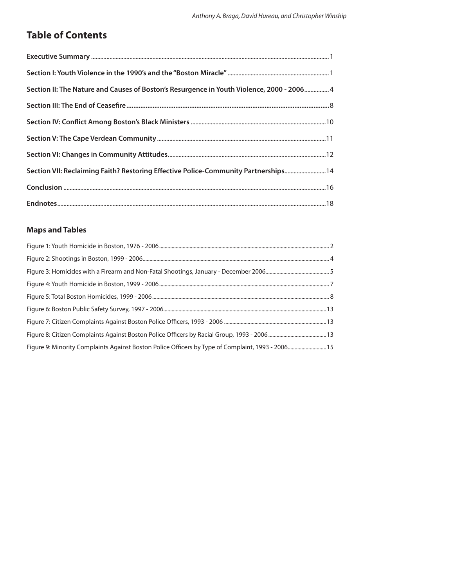# **Table of Contents**

| Section II: The Nature and Causes of Boston's Resurgence in Youth Violence, 2000 - 2006 4 |
|-------------------------------------------------------------------------------------------|
|                                                                                           |
|                                                                                           |
|                                                                                           |
|                                                                                           |
| Section VII: Reclaiming Faith? Restoring Effective Police-Community Partnerships14        |
|                                                                                           |
|                                                                                           |

## **Maps and Tables**

| Figure 9: Minority Complaints Against Boston Police Officers by Type of Complaint, 1993 - 2006 15 |  |
|---------------------------------------------------------------------------------------------------|--|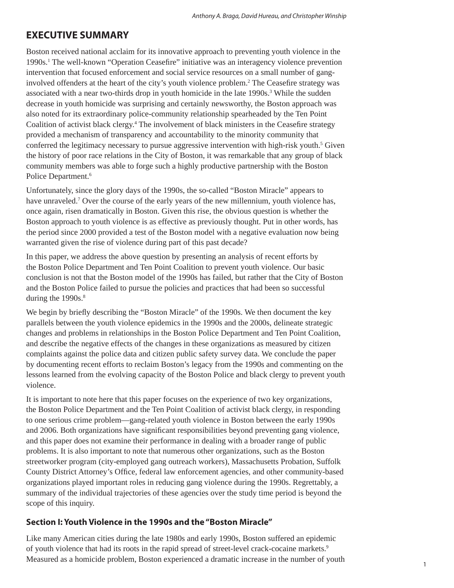## **EXECUTIVE SUMMARY**

Boston received national acclaim for its innovative approach to preventing youth violence in the 1990s.<sup>1</sup> The well-known "Operation Ceasefire" initiative was an interagency violence prevention intervention that focused enforcement and social service resources on a small number of ganginvolved offenders at the heart of the city's youth violence problem.<sup>2</sup> The Ceasefire strategy was associated with a near two-thirds drop in youth homicide in the late 1990s.<sup>3</sup> While the sudden decrease in youth homicide was surprising and certainly newsworthy, the Boston approach was also noted for its extraordinary police-community relationship spearheaded by the Ten Point Coalition of activist black clergy.<sup>4</sup> The involvement of black ministers in the Ceasefire strategy provided a mechanism of transparency and accountability to the minority community that conferred the legitimacy necessary to pursue aggressive intervention with high-risk youth.<sup>5</sup> Given the history of poor race relations in the City of Boston, it was remarkable that any group of black community members was able to forge such a highly productive partnership with the Boston Police Department.<sup>6</sup>

Unfortunately, since the glory days of the 1990s, the so-called "Boston Miracle" appears to have unraveled.<sup>7</sup> Over the course of the early years of the new millennium, youth violence has, once again, risen dramatically in Boston. Given this rise, the obvious question is whether the Boston approach to youth violence is as effective as previously thought. Put in other words, has the period since 2000 provided a test of the Boston model with a negative evaluation now being warranted given the rise of violence during part of this past decade?

In this paper, we address the above question by presenting an analysis of recent efforts by the Boston Police Department and Ten Point Coalition to prevent youth violence. Our basic conclusion is not that the Boston model of the 1990s has failed, but rather that the City of Boston and the Boston Police failed to pursue the policies and practices that had been so successful during the 1990s.<sup>8</sup>

We begin by briefly describing the "Boston Miracle" of the 1990s. We then document the key parallels between the youth violence epidemics in the 1990s and the 2000s, delineate strategic changes and problems in relationships in the Boston Police Department and Ten Point Coalition, and describe the negative effects of the changes in these organizations as measured by citizen complaints against the police data and citizen public safety survey data. We conclude the paper by documenting recent efforts to reclaim Boston's legacy from the 1990s and commenting on the lessons learned from the evolving capacity of the Boston Police and black clergy to prevent youth violence.

It is important to note here that this paper focuses on the experience of two key organizations, the Boston Police Department and the Ten Point Coalition of activist black clergy, in responding to one serious crime problem—gang-related youth violence in Boston between the early 1990s and 2006. Both organizations have significant responsibilities beyond preventing gang violence, and this paper does not examine their performance in dealing with a broader range of public problems. It is also important to note that numerous other organizations, such as the Boston streetworker program (city-employed gang outreach workers), Massachusetts Probation, Suffolk County District Attorney's Office, federal law enforcement agencies, and other community-based organizations played important roles in reducing gang violence during the 1990s. Regrettably, a summary of the individual trajectories of these agencies over the study time period is beyond the scope of this inquiry.

### **Section I: Youth Violence in the 1990s and the "Boston Miracle"**

Like many American cities during the late 1980s and early 1990s, Boston suffered an epidemic of youth violence that had its roots in the rapid spread of street-level crack-cocaine markets.9 Measured as a homicide problem, Boston experienced a dramatic increase in the number of youth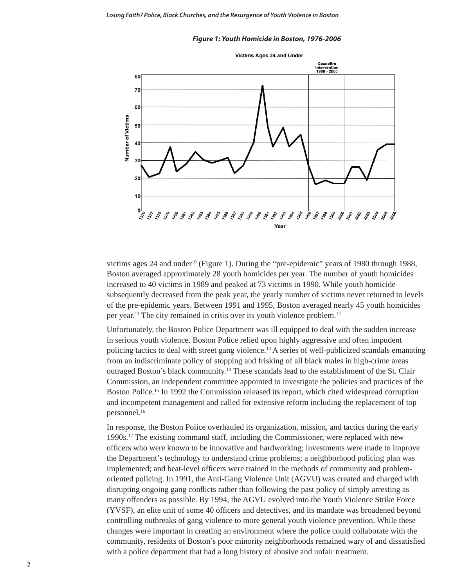#### *Figure 1: Youth Homicide in Boston, 1976-2006*



victims ages 24 and under<sup>10</sup> (Figure 1). During the "pre-epidemic" years of 1980 through 1988, Boston averaged approximately 28 youth homicides per year. The number of youth homicides increased to 40 victims in 1989 and peaked at 73 victims in 1990. While youth homicide subsequently decreased from the peak year, the yearly number of victims never returned to levels of the pre-epidemic years. Between 1991 and 1995, Boston averaged nearly 45 youth homicides per year.11 The city remained in crisis over its youth violence problem.12

Unfortunately, the Boston Police Department was ill equipped to deal with the sudden increase in serious youth violence. Boston Police relied upon highly aggressive and often impudent policing tactics to deal with street gang violence.13 A series of well-publicized scandals emanating from an indiscriminate policy of stopping and frisking of all black males in high-crime areas outraged Boston's black community.14 These scandals lead to the establishment of the St. Clair Commission, an independent committee appointed to investigate the policies and practices of the Boston Police.<sup>15</sup> In 1992 the Commission released its report, which cited widespread corruption and incompetent management and called for extensive reform including the replacement of top personnel.16

In response, the Boston Police overhauled its organization, mission, and tactics during the early 1990s.17 The existing command staff, including the Commissioner, were replaced with new officers who were known to be innovative and hardworking; investments were made to improve the Department's technology to understand crime problems; a neighborhood policing plan was implemented; and beat-level officers were trained in the methods of community and problemoriented policing. In 1991, the Anti-Gang Violence Unit (AGVU) was created and charged with disrupting ongoing gang conflicts rather than following the past policy of simply arresting as many offenders as possible. By 1994, the AGVU evolved into the Youth Violence Strike Force (YVSF), an elite unit of some 40 officers and detectives, and its mandate was broadened beyond controlling outbreaks of gang violence to more general youth violence prevention. While these changes were important in creating an environment where the police could collaborate with the community, residents of Boston's poor minority neighborhoods remained wary of and dissatisfied with a police department that had a long history of abusive and unfair treatment.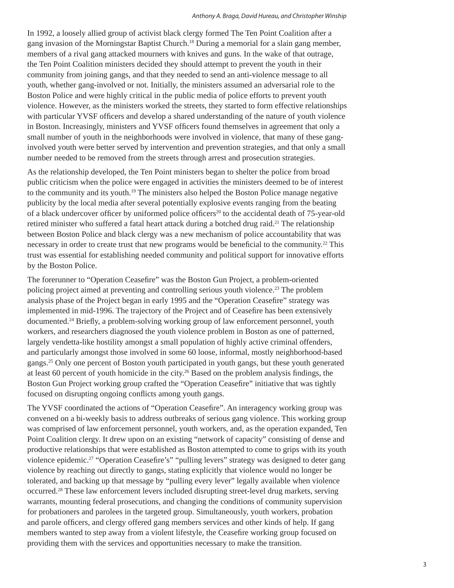#### *Anthony A. Braga, David Hureau, and Christopher Winship*

In 1992, a loosely allied group of activist black clergy formed The Ten Point Coalition after a gang invasion of the Morningstar Baptist Church.18 During a memorial for a slain gang member, members of a rival gang attacked mourners with knives and guns. In the wake of that outrage, the Ten Point Coalition ministers decided they should attempt to prevent the youth in their community from joining gangs, and that they needed to send an anti-violence message to all youth, whether gang-involved or not. Initially, the ministers assumed an adversarial role to the Boston Police and were highly critical in the public media of police efforts to prevent youth violence. However, as the ministers worked the streets, they started to form effective relationships with particular YVSF officers and develop a shared understanding of the nature of youth violence in Boston. Increasingly, ministers and YVSF officers found themselves in agreement that only a small number of youth in the neighborhoods were involved in violence, that many of these ganginvolved youth were better served by intervention and prevention strategies, and that only a small number needed to be removed from the streets through arrest and prosecution strategies.

As the relationship developed, the Ten Point ministers began to shelter the police from broad public criticism when the police were engaged in activities the ministers deemed to be of interest to the community and its youth.19 The ministers also helped the Boston Police manage negative publicity by the local media after several potentially explosive events ranging from the beating of a black undercover officer by uniformed police officers<sup>20</sup> to the accidental death of 75-year-old retired minister who suffered a fatal heart attack during a botched drug raid.<sup>21</sup> The relationship between Boston Police and black clergy was a new mechanism of police accountability that was necessary in order to create trust that new programs would be beneficial to the community.<sup>22</sup> This trust was essential for establishing needed community and political support for innovative efforts by the Boston Police.

The forerunner to "Operation Ceasefire" was the Boston Gun Project, a problem-oriented policing project aimed at preventing and controlling serious youth violence.<sup>23</sup> The problem analysis phase of the Project began in early 1995 and the "Operation Ceasefire" strategy was implemented in mid-1996. The trajectory of the Project and of Ceasefire has been extensively documented.<sup>24</sup> Briefly, a problem-solving working group of law enforcement personnel, youth workers, and researchers diagnosed the youth violence problem in Boston as one of patterned, largely vendetta-like hostility amongst a small population of highly active criminal offenders, and particularly amongst those involved in some 60 loose, informal, mostly neighborhood-based gangs.25 Only one percent of Boston youth participated in youth gangs, but these youth generated at least 60 percent of youth homicide in the city.<sup>26</sup> Based on the problem analysis findings, the Boston Gun Project working group crafted the "Operation Ceasefire" initiative that was tightly focused on disrupting ongoing conflicts among youth gangs.

The YVSF coordinated the actions of "Operation Ceasefire". An interagency working group was convened on a bi-weekly basis to address outbreaks of serious gang violence. This working group was comprised of law enforcement personnel, youth workers, and, as the operation expanded, Ten Point Coalition clergy. It drew upon on an existing "network of capacity" consisting of dense and productive relationships that were established as Boston attempted to come to grips with its youth violence epidemic.<sup>27</sup> "Operation Ceasefire's" "pulling levers" strategy was designed to deter gang violence by reaching out directly to gangs, stating explicitly that violence would no longer be tolerated, and backing up that message by "pulling every lever" legally available when violence occurred.28 These law enforcement levers included disrupting street-level drug markets, serving warrants, mounting federal prosecutions, and changing the conditions of community supervision for probationers and parolees in the targeted group. Simultaneously, youth workers, probation and parole officers, and clergy offered gang members services and other kinds of help. If gang members wanted to step away from a violent lifestyle, the Ceasefire working group focused on providing them with the services and opportunities necessary to make the transition.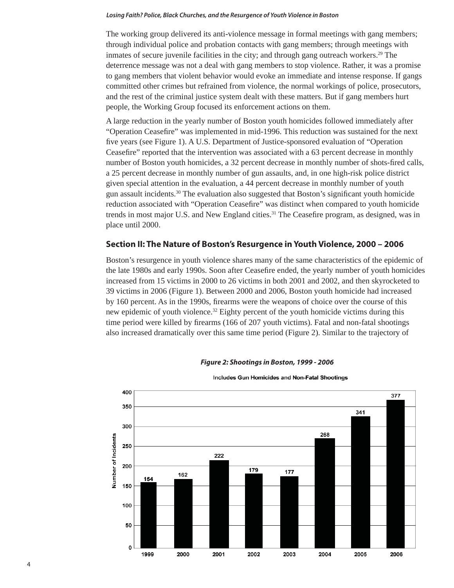The working group delivered its anti-violence message in formal meetings with gang members; through individual police and probation contacts with gang members; through meetings with inmates of secure juvenile facilities in the city; and through gang outreach workers.<sup>29</sup> The deterrence message was not a deal with gang members to stop violence. Rather, it was a promise to gang members that violent behavior would evoke an immediate and intense response. If gangs committed other crimes but refrained from violence, the normal workings of police, prosecutors, and the rest of the criminal justice system dealt with these matters. But if gang members hurt people, the Working Group focused its enforcement actions on them.

A large reduction in the yearly number of Boston youth homicides followed immediately after "Operation Ceasefire" was implemented in mid-1996. This reduction was sustained for the next five years (see Figure 1). A U.S. Department of Justice-sponsored evaluation of "Operation" Ceasefire" reported that the intervention was associated with a 63 percent decrease in monthly number of Boston youth homicides, a 32 percent decrease in monthly number of shots-fired calls, a 25 percent decrease in monthly number of gun assaults, and, in one high-risk police district given special attention in the evaluation, a 44 percent decrease in monthly number of youth gun assault incidents.<sup>30</sup> The evaluation also suggested that Boston's significant youth homicide reduction associated with "Operation Ceasefire" was distinct when compared to youth homicide trends in most major U.S. and New England cities.<sup>31</sup> The Ceasefire program, as designed, was in place until 2000.

## **Section II: The Nature of Boston's Resurgence in Youth Violence, 2000 – 2006**

Boston's resurgence in youth violence shares many of the same characteristics of the epidemic of the late 1980s and early 1990s. Soon after Ceasefire ended, the yearly number of youth homicides increased from 15 victims in 2000 to 26 victims in both 2001 and 2002, and then skyrocketed to 39 victims in 2006 (Figure 1). Between 2000 and 2006, Boston youth homicide had increased by 160 percent. As in the 1990s, firearms were the weapons of choice over the course of this new epidemic of youth violence.<sup>32</sup> Eighty percent of the youth homicide victims during this time period were killed by firearms (166 of 207 youth victims). Fatal and non-fatal shootings also increased dramatically over this same time period (Figure 2). Similar to the trajectory of



*Figure 2: Shootings in Boston, 1999 - 2006*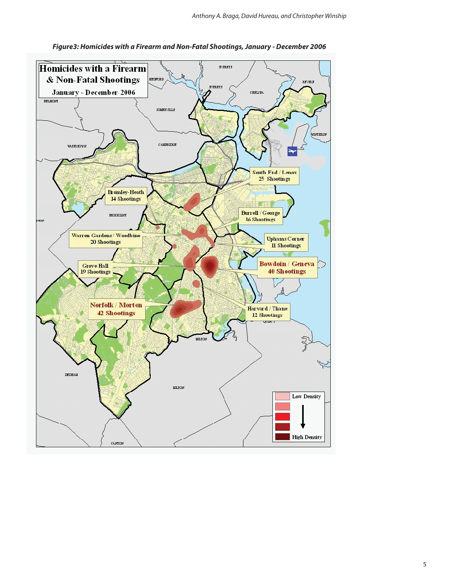

*Figure3: Homicides with a Firearm and Non-Fatal Shootings, January - December 2006*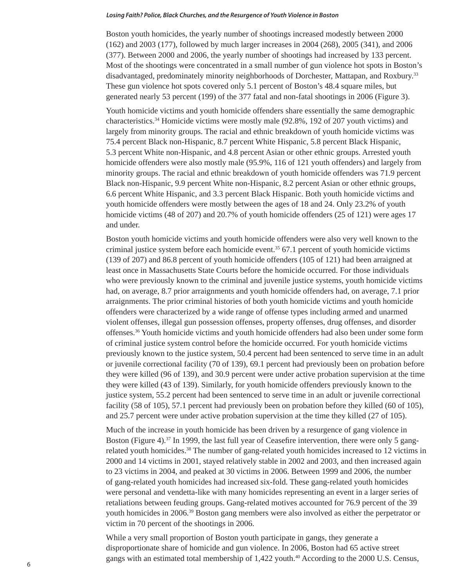Boston youth homicides, the yearly number of shootings increased modestly between 2000 (162) and 2003 (177), followed by much larger increases in 2004 (268), 2005 (341), and 2006 (377). Between 2000 and 2006, the yearly number of shootings had increased by 133 percent. Most of the shootings were concentrated in a small number of gun violence hot spots in Boston's disadvantaged, predominately minority neighborhoods of Dorchester, Mattapan, and Roxbury.33 These gun violence hot spots covered only 5.1 percent of Boston's 48.4 square miles, but generated nearly 53 percent (199) of the 377 fatal and non-fatal shootings in 2006 (Figure 3).

Youth homicide victims and youth homicide offenders share essentially the same demographic characteristics.34 Homicide victims were mostly male (92.8%, 192 of 207 youth victims) and largely from minority groups. The racial and ethnic breakdown of youth homicide victims was 75.4 percent Black non-Hispanic, 8.7 percent White Hispanic, 5.8 percent Black Hispanic, 5.3 percent White non-Hispanic, and 4.8 percent Asian or other ethnic groups. Arrested youth homicide offenders were also mostly male (95.9%, 116 of 121 youth offenders) and largely from minority groups. The racial and ethnic breakdown of youth homicide offenders was 71.9 percent Black non-Hispanic, 9.9 percent White non-Hispanic, 8.2 percent Asian or other ethnic groups, 6.6 percent White Hispanic, and 3.3 percent Black Hispanic. Both youth homicide victims and youth homicide offenders were mostly between the ages of 18 and 24. Only 23.2% of youth homicide victims (48 of 207) and 20.7% of youth homicide offenders (25 of 121) were ages 17 and under.

Boston youth homicide victims and youth homicide offenders were also very well known to the criminal justice system before each homicide event. $35\,67.1$  percent of youth homicide victims (139 of 207) and 86.8 percent of youth homicide offenders (105 of 121) had been arraigned at least once in Massachusetts State Courts before the homicide occurred. For those individuals who were previously known to the criminal and juvenile justice systems, youth homicide victims had, on average, 8.7 prior arraignments and youth homicide offenders had, on average, 7.1 prior arraignments. The prior criminal histories of both youth homicide victims and youth homicide offenders were characterized by a wide range of offense types including armed and unarmed violent offenses, illegal gun possession offenses, property offenses, drug offenses, and disorder offenses.36 Youth homicide victims and youth homicide offenders had also been under some form of criminal justice system control before the homicide occurred. For youth homicide victims previously known to the justice system, 50.4 percent had been sentenced to serve time in an adult or juvenile correctional facility (70 of 139), 69.1 percent had previously been on probation before they were killed (96 of 139), and 30.9 percent were under active probation supervision at the time they were killed (43 of 139). Similarly, for youth homicide offenders previously known to the justice system, 55.2 percent had been sentenced to serve time in an adult or juvenile correctional facility (58 of 105), 57.1 percent had previously been on probation before they killed (60 of 105), and 25.7 percent were under active probation supervision at the time they killed (27 of 105).

Much of the increase in youth homicide has been driven by a resurgence of gang violence in Boston (Figure 4).<sup>37</sup> In 1999, the last full year of Ceasefire intervention, there were only 5 gangrelated youth homicides.38 The number of gang-related youth homicides increased to 12 victims in 2000 and 14 victims in 2001, stayed relatively stable in 2002 and 2003, and then increased again to 23 victims in 2004, and peaked at 30 victims in 2006. Between 1999 and 2006, the number of gang-related youth homicides had increased six-fold. These gang-related youth homicides were personal and vendetta-like with many homicides representing an event in a larger series of retaliations between feuding groups. Gang-related motives accounted for 76.9 percent of the 39 youth homicides in 2006.39 Boston gang members were also involved as either the perpetrator or victim in 70 percent of the shootings in 2006.

While a very small proportion of Boston youth participate in gangs, they generate a disproportionate share of homicide and gun violence. In 2006, Boston had 65 active street gangs with an estimated total membership of 1,422 youth.<sup>40</sup> According to the 2000 U.S. Census,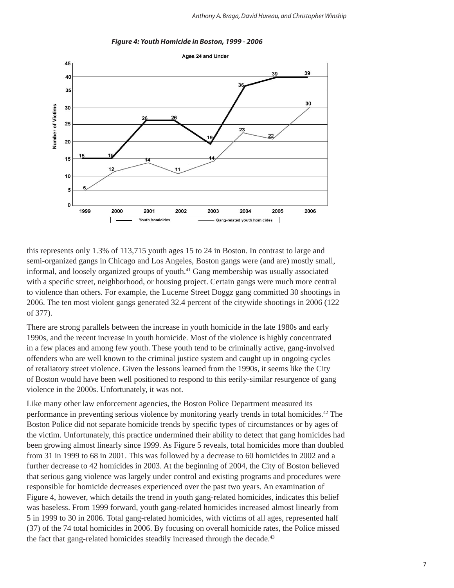

*Figure 4: Youth Homicide in Boston, 1999 - 2006*

this represents only 1.3% of 113,715 youth ages 15 to 24 in Boston. In contrast to large and semi-organized gangs in Chicago and Los Angeles, Boston gangs were (and are) mostly small, informal, and loosely organized groups of youth.41 Gang membership was usually associated with a specific street, neighborhood, or housing project. Certain gangs were much more central to violence than others. For example, the Lucerne Street Doggz gang committed 30 shootings in 2006. The ten most violent gangs generated 32.4 percent of the citywide shootings in 2006 (122 of 377).

There are strong parallels between the increase in youth homicide in the late 1980s and early 1990s, and the recent increase in youth homicide. Most of the violence is highly concentrated in a few places and among few youth. These youth tend to be criminally active, gang-involved offenders who are well known to the criminal justice system and caught up in ongoing cycles of retaliatory street violence. Given the lessons learned from the 1990s, it seems like the City of Boston would have been well positioned to respond to this eerily-similar resurgence of gang violence in the 2000s. Unfortunately, it was not.

Like many other law enforcement agencies, the Boston Police Department measured its performance in preventing serious violence by monitoring yearly trends in total homicides.42 The Boston Police did not separate homicide trends by specific types of circumstances or by ages of the victim. Unfortunately, this practice undermined their ability to detect that gang homicides had been growing almost linearly since 1999. As Figure 5 reveals, total homicides more than doubled from 31 in 1999 to 68 in 2001. This was followed by a decrease to 60 homicides in 2002 and a further decrease to 42 homicides in 2003. At the beginning of 2004, the City of Boston believed that serious gang violence was largely under control and existing programs and procedures were responsible for homicide decreases experienced over the past two years. An examination of Figure 4, however, which details the trend in youth gang-related homicides, indicates this belief was baseless. From 1999 forward, youth gang-related homicides increased almost linearly from 5 in 1999 to 30 in 2006. Total gang-related homicides, with victims of all ages, represented half (37) of the 74 total homicides in 2006. By focusing on overall homicide rates, the Police missed the fact that gang-related homicides steadily increased through the decade.<sup>43</sup>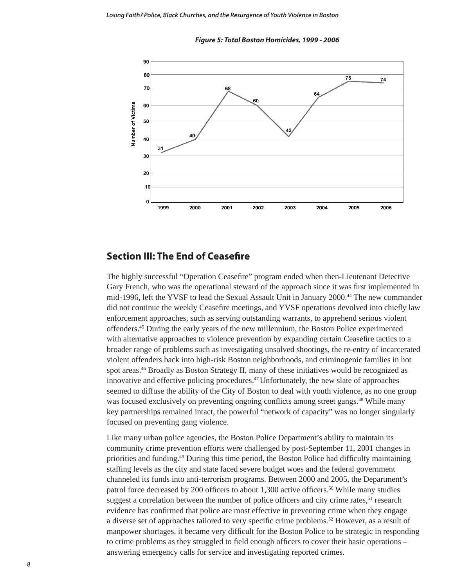



## **Section III: The End of Ceasefire**

The highly successful "Operation Ceasefire" program ended when then-Lieutenant Detective Gary French, who was the operational steward of the approach since it was first implemented in mid-1996, left the YVSF to lead the Sexual Assault Unit in January 2000.44 The new commander did not continue the weekly Ceasefire meetings, and YVSF operations devolved into chiefly law enforcement approaches, such as serving outstanding warrants, to apprehend serious violent offenders.45 During the early years of the new millennium, the Boston Police experimented with alternative approaches to violence prevention by expanding certain Ceasefire tactics to a broader range of problems such as investigating unsolved shootings, the re-entry of incarcerated violent offenders back into high-risk Boston neighborhoods, and criminogenic families in hot spot areas.<sup>46</sup> Broadly as Boston Strategy II, many of these initiatives would be recognized as innovative and effective policing procedures.47 Unfortunately, the new slate of approaches seemed to diffuse the ability of the City of Boston to deal with youth violence, as no one group was focused exclusively on preventing ongoing conflicts among street gangs.<sup>48</sup> While many key partnerships remained intact, the powerful "network of capacity" was no longer singularly focused on preventing gang violence.

Like many urban police agencies, the Boston Police Department's ability to maintain its community crime prevention efforts were challenged by post-September 11, 2001 changes in priorities and funding.<sup>49</sup> During this time period, the Boston Police had difficulty maintaining staffing levels as the city and state faced severe budget woes and the federal government channeled its funds into anti-terrorism programs. Between 2000 and 2005, the Department's patrol force decreased by 200 officers to about  $1,300$  active officers.<sup>50</sup> While many studies suggest a correlation between the number of police officers and city crime rates,<sup>51</sup> research evidence has confirmed that police are most effective in preventing crime when they engage a diverse set of approaches tailored to very specific crime problems.<sup>52</sup> However, as a result of manpower shortages, it became very difficult for the Boston Police to be strategic in responding to crime problems as they struggled to field enough officers to cover their basic operations  $$ answering emergency calls for service and investigating reported crimes.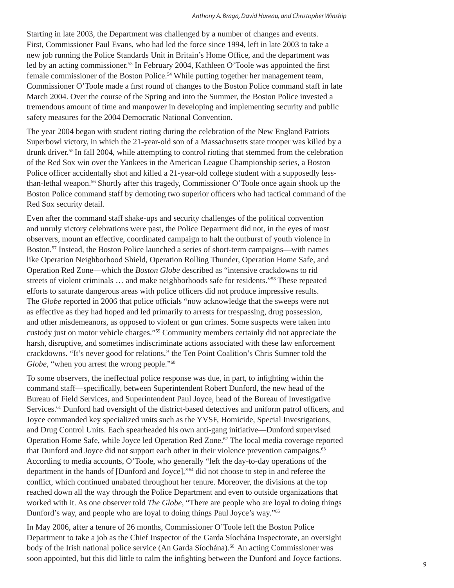Starting in late 2003, the Department was challenged by a number of changes and events. First, Commissioner Paul Evans, who had led the force since 1994, left in late 2003 to take a new job running the Police Standards Unit in Britain's Home Office, and the department was led by an acting commissioner.<sup>53</sup> In February 2004, Kathleen O'Toole was appointed the first female commissioner of the Boston Police.54 While putting together her management team, Commissioner O'Toole made a first round of changes to the Boston Police command staff in late March 2004. Over the course of the Spring and into the Summer, the Boston Police invested a tremendous amount of time and manpower in developing and implementing security and public safety measures for the 2004 Democratic National Convention.

The year 2004 began with student rioting during the celebration of the New England Patriots Superbowl victory, in which the 21-year-old son of a Massachusetts state trooper was killed by a drunk driver.55 In fall 2004, while attempting to control rioting that stemmed from the celebration of the Red Sox win over the Yankees in the American League Championship series, a Boston Police officer accidentally shot and killed a 21-year-old college student with a supposedly lessthan-lethal weapon.56 Shortly after this tragedy, Commissioner O'Toole once again shook up the Boston Police command staff by demoting two superior officers who had tactical command of the Red Sox security detail.

Even after the command staff shake-ups and security challenges of the political convention and unruly victory celebrations were past, the Police Department did not, in the eyes of most observers, mount an effective, coordinated campaign to halt the outburst of youth violence in Boston.57 Instead, the Boston Police launched a series of short-term campaigns—with names like Operation Neighborhood Shield, Operation Rolling Thunder, Operation Home Safe, and Operation Red Zone—which the *Boston Globe* described as "intensive crackdowns to rid streets of violent criminals … and make neighborhoods safe for residents."58 These repeated efforts to saturate dangerous areas with police officers did not produce impressive results. The *Globe* reported in 2006 that police officials "now acknowledge that the sweeps were not as effective as they had hoped and led primarily to arrests for trespassing, drug possession, and other misdemeanors, as opposed to violent or gun crimes. Some suspects were taken into custody just on motor vehicle charges."59 Community members certainly did not appreciate the harsh, disruptive, and sometimes indiscriminate actions associated with these law enforcement crackdowns. "It's never good for relations," the Ten Point Coalition's Chris Sumner told the *Globe*, "when you arrest the wrong people."<sup>60</sup>

To some observers, the ineffectual police response was due, in part, to infighting within the command staff—specifically, between Superintendent Robert Dunford, the new head of the Bureau of Field Services, and Superintendent Paul Joyce, head of the Bureau of Investigative Services.<sup>61</sup> Dunford had oversight of the district-based detectives and uniform patrol officers, and Joyce commanded key specialized units such as the YVSF, Homicide, Special Investigations, and Drug Control Units. Each spearheaded his own anti-gang initiative—Dunford supervised Operation Home Safe, while Joyce led Operation Red Zone.62 The local media coverage reported that Dunford and Joyce did not support each other in their violence prevention campaigns.<sup>63</sup> According to media accounts, O'Toole, who generally "left the day-to-day operations of the department in the hands of [Dunford and Joyce],"64 did not choose to step in and referee the conflict, which continued unabated throughout her tenure. Moreover, the divisions at the top reached down all the way through the Police Department and even to outside organizations that worked with it. As one observer told *The Globe*, "There are people who are loyal to doing things Dunford's way, and people who are loyal to doing things Paul Joyce's way."65

In May 2006, after a tenure of 26 months, Commissioner O'Toole left the Boston Police Department to take a job as the Chief Inspector of the Garda Síochána Inspectorate, an oversight body of the Irish national police service (An Garda Síochána).<sup>66</sup> An acting Commissioner was soon appointed, but this did little to calm the infighting between the Dunford and Joyce factions.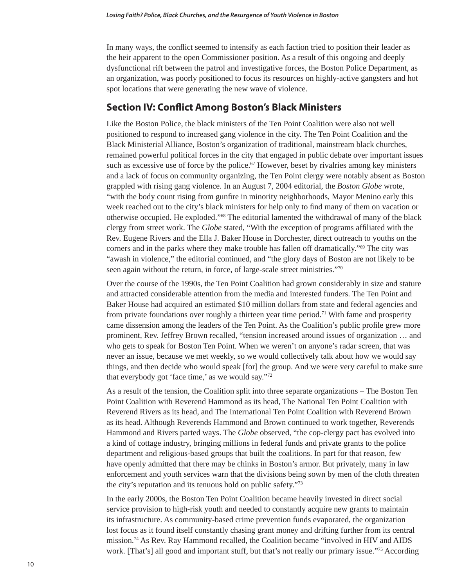In many ways, the conflict seemed to intensify as each faction tried to position their leader as the heir apparent to the open Commissioner position. As a result of this ongoing and deeply dysfunctional rift between the patrol and investigative forces, the Boston Police Department, as an organization, was poorly positioned to focus its resources on highly-active gangsters and hot spot locations that were generating the new wave of violence.

## **Section IV: Conflict Among Boston's Black Ministers**

Like the Boston Police, the black ministers of the Ten Point Coalition were also not well positioned to respond to increased gang violence in the city. The Ten Point Coalition and the Black Ministerial Alliance, Boston's organization of traditional, mainstream black churches, remained powerful political forces in the city that engaged in public debate over important issues such as excessive use of force by the police.<sup>67</sup> However, beset by rivalries among key ministers and a lack of focus on community organizing, the Ten Point clergy were notably absent as Boston grappled with rising gang violence. In an August 7, 2004 editorial, the *Boston Globe* wrote, "with the body count rising from gunfire in minority neighborhoods, Mayor Menino early this week reached out to the city's black ministers for help only to find many of them on vacation or otherwise occupied. He exploded."68 The editorial lamented the withdrawal of many of the black clergy from street work. The *Globe* stated, "With the exception of programs affiliated with the Rev. Eugene Rivers and the Ella J. Baker House in Dorchester, direct outreach to youths on the corners and in the parks where they make trouble has fallen off dramatically."69 The city was "awash in violence," the editorial continued, and "the glory days of Boston are not likely to be seen again without the return, in force, of large-scale street ministries."70

Over the course of the 1990s, the Ten Point Coalition had grown considerably in size and stature and attracted considerable attention from the media and interested funders. The Ten Point and Baker House had acquired an estimated \$10 million dollars from state and federal agencies and from private foundations over roughly a thirteen year time period.<sup>71</sup> With fame and prosperity came dissension among the leaders of the Ten Point. As the Coalition's public profile grew more prominent, Rev. Jeffrey Brown recalled, "tension increased around issues of organization … and who gets to speak for Boston Ten Point. When we weren't on anyone's radar screen, that was never an issue, because we met weekly, so we would collectively talk about how we would say things, and then decide who would speak [for] the group. And we were very careful to make sure that everybody got 'face time,' as we would say."72

As a result of the tension, the Coalition split into three separate organizations – The Boston Ten Point Coalition with Reverend Hammond as its head, The National Ten Point Coalition with Reverend Rivers as its head, and The International Ten Point Coalition with Reverend Brown as its head. Although Reverends Hammond and Brown continued to work together, Reverends Hammond and Rivers parted ways. The *Globe* observed, "the cop-clergy pact has evolved into a kind of cottage industry, bringing millions in federal funds and private grants to the police department and religious-based groups that built the coalitions. In part for that reason, few have openly admitted that there may be chinks in Boston's armor. But privately, many in law enforcement and youth services warn that the divisions being sown by men of the cloth threaten the city's reputation and its tenuous hold on public safety."73

In the early 2000s, the Boston Ten Point Coalition became heavily invested in direct social service provision to high-risk youth and needed to constantly acquire new grants to maintain its infrastructure. As community-based crime prevention funds evaporated, the organization lost focus as it found itself constantly chasing grant money and drifting further from its central mission.74 As Rev. Ray Hammond recalled, the Coalition became "involved in HIV and AIDS work. [That's] all good and important stuff, but that's not really our primary issue."75 According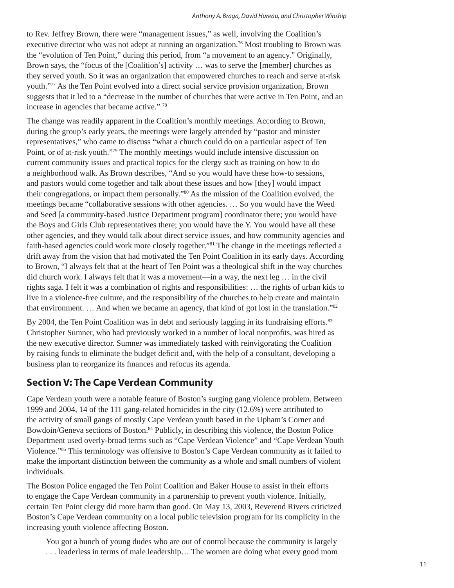#### *Anthony A. Braga, David Hureau, and Christopher Winship*

to Rev. Jeffrey Brown, there were "management issues," as well, involving the Coalition's executive director who was not adept at running an organization.<sup>76</sup> Most troubling to Brown was the "evolution of Ten Point," during this period, from "a movement to an agency." Originally, Brown says, the "focus of the [Coalition's] activity … was to serve the [member] churches as they served youth. So it was an organization that empowered churches to reach and serve at-risk youth."77 As the Ten Point evolved into a direct social service provision organization, Brown suggests that it led to a "decrease in the number of churches that were active in Ten Point, and an increase in agencies that became active."<sup>78</sup>

The change was readily apparent in the Coalition's monthly meetings. According to Brown, during the group's early years, the meetings were largely attended by "pastor and minister representatives," who came to discuss "what a church could do on a particular aspect of Ten Point, or of at-risk youth."79 The monthly meetings would include intensive discussion on current community issues and practical topics for the clergy such as training on how to do a neighborhood walk. As Brown describes, "And so you would have these how-to sessions, and pastors would come together and talk about these issues and how [they] would impact their congregations, or impact them personally."80 As the mission of the Coalition evolved, the meetings became "collaborative sessions with other agencies. … So you would have the Weed and Seed [a community-based Justice Department program] coordinator there; you would have the Boys and Girls Club representatives there; you would have the Y. You would have all these other agencies, and they would talk about direct service issues, and how community agencies and faith-based agencies could work more closely together."<sup>81</sup> The change in the meetings reflected a drift away from the vision that had motivated the Ten Point Coalition in its early days. According to Brown, "I always felt that at the heart of Ten Point was a theological shift in the way churches did church work. I always felt that it was a movement—in a way, the next leg … in the civil rights saga. I felt it was a combination of rights and responsibilities: … the rights of urban kids to live in a violence-free culture, and the responsibility of the churches to help create and maintain that environment. … And when we became an agency, that kind of got lost in the translation."82

By 2004, the Ten Point Coalition was in debt and seriously lagging in its fundraising efforts.<sup>83</sup> Christopher Sumner, who had previously worked in a number of local nonprofits, was hired as the new executive director. Sumner was immediately tasked with reinvigorating the Coalition by raising funds to eliminate the budget deficit and, with the help of a consultant, developing a business plan to reorganize its finances and refocus its agenda.

# **Section V: The Cape Verdean Community**

Cape Verdean youth were a notable feature of Boston's surging gang violence problem. Between 1999 and 2004, 14 of the 111 gang-related homicides in the city (12.6%) were attributed to the activity of small gangs of mostly Cape Verdean youth based in the Upham's Corner and Bowdoin/Geneva sections of Boston.<sup>84</sup> Publicly, in describing this violence, the Boston Police Department used overly-broad terms such as "Cape Verdean Violence" and "Cape Verdean Youth Violence."85 This terminology was offensive to Boston's Cape Verdean community as it failed to make the important distinction between the community as a whole and small numbers of violent individuals.

The Boston Police engaged the Ten Point Coalition and Baker House to assist in their efforts to engage the Cape Verdean community in a partnership to prevent youth violence. Initially, certain Ten Point clergy did more harm than good. On May 13, 2003, Reverend Rivers criticized Boston's Cape Verdean community on a local public television program for its complicity in the increasing youth violence affecting Boston.

You got a bunch of young dudes who are out of control because the community is largely . . . leaderless in terms of male leadership… The women are doing what every good mom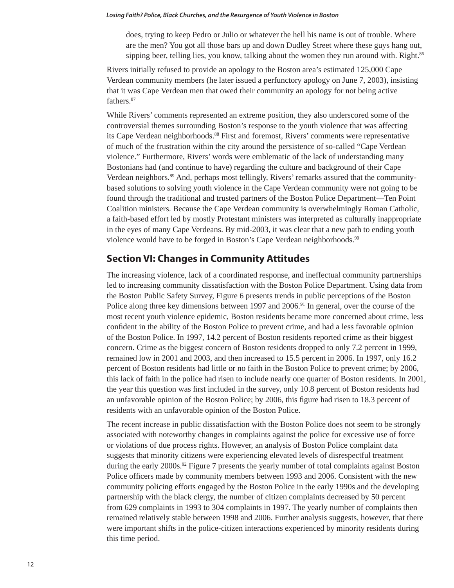does, trying to keep Pedro or Julio or whatever the hell his name is out of trouble. Where are the men? You got all those bars up and down Dudley Street where these guys hang out, sipping beer, telling lies, you know, talking about the women they run around with. Right.<sup>86</sup>

Rivers initially refused to provide an apology to the Boston area's estimated 125,000 Cape Verdean community members (he later issued a perfunctory apology on June 7, 2003), insisting that it was Cape Verdean men that owed their community an apology for not being active fathers.<sup>87</sup>

While Rivers' comments represented an extreme position, they also underscored some of the controversial themes surrounding Boston's response to the youth violence that was affecting its Cape Verdean neighborhoods.88 First and foremost, Rivers' comments were representative of much of the frustration within the city around the persistence of so-called "Cape Verdean violence." Furthermore, Rivers' words were emblematic of the lack of understanding many Bostonians had (and continue to have) regarding the culture and background of their Cape Verdean neighbors.<sup>89</sup> And, perhaps most tellingly, Rivers' remarks assured that the communitybased solutions to solving youth violence in the Cape Verdean community were not going to be found through the traditional and trusted partners of the Boston Police Department—Ten Point Coalition ministers. Because the Cape Verdean community is overwhelmingly Roman Catholic, a faith-based effort led by mostly Protestant ministers was interpreted as culturally inappropriate in the eyes of many Cape Verdeans. By mid-2003, it was clear that a new path to ending youth violence would have to be forged in Boston's Cape Verdean neighborhoods.<sup>90</sup>

# **Section VI: Changes in Community Attitudes**

The increasing violence, lack of a coordinated response, and ineffectual community partnerships led to increasing community dissatisfaction with the Boston Police Department. Using data from the Boston Public Safety Survey, Figure 6 presents trends in public perceptions of the Boston Police along three key dimensions between 1997 and 2006.<sup>91</sup> In general, over the course of the most recent youth violence epidemic, Boston residents became more concerned about crime, less confident in the ability of the Boston Police to prevent crime, and had a less favorable opinion of the Boston Police. In 1997, 14.2 percent of Boston residents reported crime as their biggest concern. Crime as the biggest concern of Boston residents dropped to only 7.2 percent in 1999, remained low in 2001 and 2003, and then increased to 15.5 percent in 2006. In 1997, only 16.2 percent of Boston residents had little or no faith in the Boston Police to prevent crime; by 2006, this lack of faith in the police had risen to include nearly one quarter of Boston residents. In 2001, the year this question was first included in the survey, only 10.8 percent of Boston residents had an unfavorable opinion of the Boston Police; by 2006, this figure had risen to 18.3 percent of residents with an unfavorable opinion of the Boston Police.

The recent increase in public dissatisfaction with the Boston Police does not seem to be strongly associated with noteworthy changes in complaints against the police for excessive use of force or violations of due process rights. However, an analysis of Boston Police complaint data suggests that minority citizens were experiencing elevated levels of disrespectful treatment during the early 2000s.<sup>92</sup> Figure 7 presents the yearly number of total complaints against Boston Police officers made by community members between 1993 and 2006. Consistent with the new community policing efforts engaged by the Boston Police in the early 1990s and the developing partnership with the black clergy, the number of citizen complaints decreased by 50 percent from 629 complaints in 1993 to 304 complaints in 1997. The yearly number of complaints then remained relatively stable between 1998 and 2006. Further analysis suggests, however, that there were important shifts in the police-citizen interactions experienced by minority residents during this time period.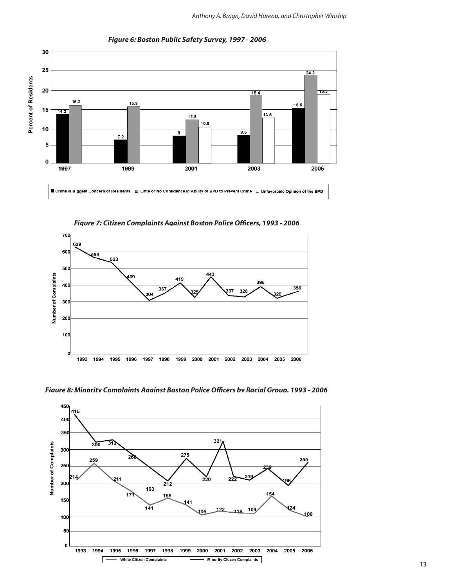

*Figure 6: Boston Public Safety Survey, 1997 - 2006*

Figure 7: Citizen Complaints Against Boston Police Officers, 1993 - 2006





Fiaure 8: Minoritv Complaints Aaainst Boston Police Officers bv Racial Group, 1993 - 2006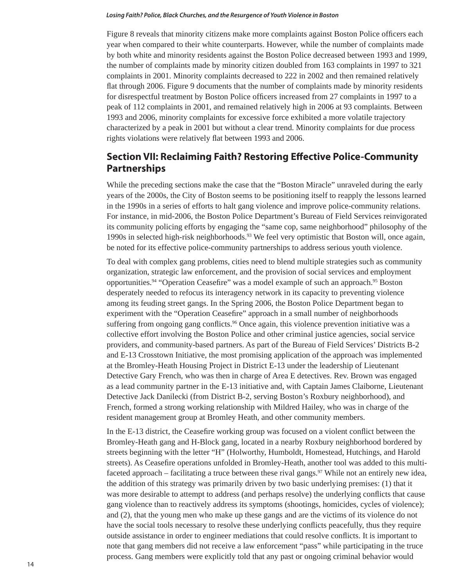Figure 8 reveals that minority citizens make more complaints against Boston Police officers each year when compared to their white counterparts. However, while the number of complaints made by both white and minority residents against the Boston Police decreased between 1993 and 1999, the number of complaints made by minority citizen doubled from 163 complaints in 1997 to 321 complaints in 2001. Minority complaints decreased to 222 in 2002 and then remained relatively flat through 2006. Figure 9 documents that the number of complaints made by minority residents for disrespectful treatment by Boston Police officers increased from 27 complaints in 1997 to a peak of 112 complaints in 2001, and remained relatively high in 2006 at 93 complaints. Between 1993 and 2006, minority complaints for excessive force exhibited a more volatile trajectory characterized by a peak in 2001 but without a clear trend. Minority complaints for due process rights violations were relatively flat between 1993 and 2006.

# **Section VII: Reclaiming Faith? Restoring Effective Police-Community Partnerships**

While the preceding sections make the case that the "Boston Miracle" unraveled during the early years of the 2000s, the City of Boston seems to be positioning itself to reapply the lessons learned in the 1990s in a series of efforts to halt gang violence and improve police-community relations. For instance, in mid-2006, the Boston Police Department's Bureau of Field Services reinvigorated its community policing efforts by engaging the "same cop, same neighborhood" philosophy of the 1990s in selected high-risk neighborhoods.<sup>93</sup> We feel very optimistic that Boston will, once again, be noted for its effective police-community partnerships to address serious youth violence.

To deal with complex gang problems, cities need to blend multiple strategies such as community organization, strategic law enforcement, and the provision of social services and employment opportunities.<sup>94</sup> "Operation Ceasefire" was a model example of such an approach.<sup>95</sup> Boston desperately needed to refocus its interagency network in its capacity to preventing violence among its feuding street gangs. In the Spring 2006, the Boston Police Department began to experiment with the "Operation Ceasefire" approach in a small number of neighborhoods suffering from ongoing gang conflicts.<sup>96</sup> Once again, this violence prevention initiative was a collective effort involving the Boston Police and other criminal justice agencies, social service providers, and community-based partners. As part of the Bureau of Field Services' Districts B-2 and E-13 Crosstown Initiative, the most promising application of the approach was implemented at the Bromley-Heath Housing Project in District E-13 under the leadership of Lieutenant Detective Gary French, who was then in charge of Area E detectives. Rev. Brown was engaged as a lead community partner in the E-13 initiative and, with Captain James Claiborne, Lieutenant Detective Jack Danilecki (from District B-2, serving Boston's Roxbury neighborhood), and French, formed a strong working relationship with Mildred Hailey, who was in charge of the resident management group at Bromley Heath, and other community members.

In the E-13 district, the Ceasefire working group was focused on a violent conflict between the Bromley-Heath gang and H-Block gang, located in a nearby Roxbury neighborhood bordered by streets beginning with the letter "H" (Holworthy, Humboldt, Homestead, Hutchings, and Harold streets). As Ceasefire operations unfolded in Bromley-Heath, another tool was added to this multifaceted approach – facilitating a truce between these rival gangs.<sup>97</sup> While not an entirely new idea, the addition of this strategy was primarily driven by two basic underlying premises: (1) that it was more desirable to attempt to address (and perhaps resolve) the underlying conflicts that cause gang violence than to reactively address its symptoms (shootings, homicides, cycles of violence); and (2), that the young men who make up these gangs and are the victims of its violence do not have the social tools necessary to resolve these underlying conflicts peacefully, thus they require outside assistance in order to engineer mediations that could resolve conflicts. It is important to note that gang members did not receive a law enforcement "pass" while participating in the truce process. Gang members were explicitly told that any past or ongoing criminal behavior would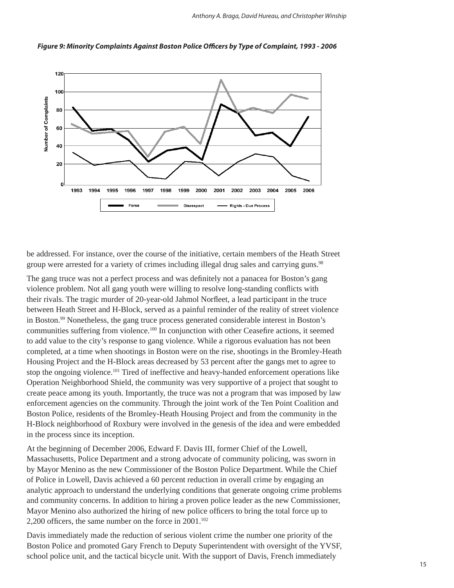*Anthony A. Braga, David Hureau, and Christopher Winship*



Figure 9: Minority Complaints Against Boston Police Officers by Type of Complaint, 1993 - 2006

be addressed. For instance, over the course of the initiative, certain members of the Heath Street group were arrested for a variety of crimes including illegal drug sales and carrying guns.<sup>98</sup>

The gang truce was not a perfect process and was definitely not a panacea for Boston's gang violence problem. Not all gang youth were willing to resolve long-standing conflicts with their rivals. The tragic murder of 20-year-old Jahmol Norfleet, a lead participant in the truce between Heath Street and H-Block, served as a painful reminder of the reality of street violence in Boston.<sup>99</sup> Nonetheless, the gang truce process generated considerable interest in Boston's communities suffering from violence.<sup>100</sup> In conjunction with other Ceasefire actions, it seemed to add value to the city's response to gang violence. While a rigorous evaluation has not been completed, at a time when shootings in Boston were on the rise, shootings in the Bromley-Heath Housing Project and the H-Block areas decreased by 53 percent after the gangs met to agree to stop the ongoing violence.<sup>101</sup> Tired of ineffective and heavy-handed enforcement operations like Operation Neighborhood Shield, the community was very supportive of a project that sought to create peace among its youth. Importantly, the truce was not a program that was imposed by law enforcement agencies on the community. Through the joint work of the Ten Point Coalition and Boston Police, residents of the Bromley-Heath Housing Project and from the community in the H-Block neighborhood of Roxbury were involved in the genesis of the idea and were embedded in the process since its inception.

At the beginning of December 2006, Edward F. Davis III, former Chief of the Lowell, Massachusetts, Police Department and a strong advocate of community policing, was sworn in by Mayor Menino as the new Commissioner of the Boston Police Department. While the Chief of Police in Lowell, Davis achieved a 60 percent reduction in overall crime by engaging an analytic approach to understand the underlying conditions that generate ongoing crime problems and community concerns. In addition to hiring a proven police leader as the new Commissioner, Mayor Menino also authorized the hiring of new police officers to bring the total force up to 2,200 officers, the same number on the force in  $2001$ .<sup>102</sup>

Davis immediately made the reduction of serious violent crime the number one priority of the Boston Police and promoted Gary French to Deputy Superintendent with oversight of the YVSF, school police unit, and the tactical bicycle unit. With the support of Davis, French immediately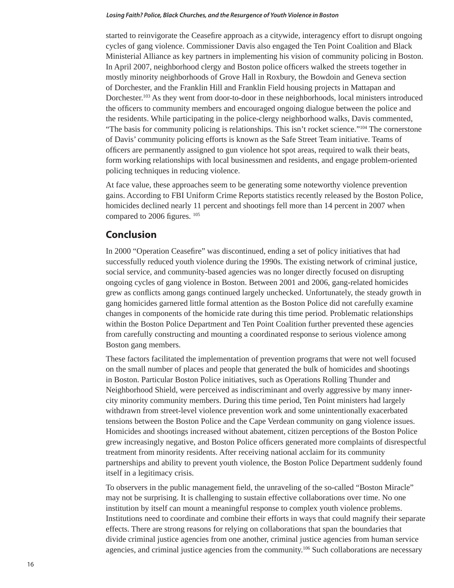started to reinvigorate the Ceasefire approach as a citywide, interagency effort to disrupt ongoing cycles of gang violence. Commissioner Davis also engaged the Ten Point Coalition and Black Ministerial Alliance as key partners in implementing his vision of community policing in Boston. In April 2007, neighborhood clergy and Boston police officers walked the streets together in mostly minority neighborhoods of Grove Hall in Roxbury, the Bowdoin and Geneva section of Dorchester, and the Franklin Hill and Franklin Field housing projects in Mattapan and Dorchester.<sup>103</sup> As they went from door-to-door in these neighborhoods, local ministers introduced the officers to community members and encouraged ongoing dialogue between the police and the residents. While participating in the police-clergy neighborhood walks, Davis commented, "The basis for community policing is relationships. This isn't rocket science."104 The cornerstone of Davis' community policing efforts is known as the Safe Street Team initiative. Teams of officers are permanently assigned to gun violence hot spot areas, required to walk their beats, form working relationships with local businessmen and residents, and engage problem-oriented policing techniques in reducing violence.

At face value, these approaches seem to be generating some noteworthy violence prevention gains. According to FBI Uniform Crime Reports statistics recently released by the Boston Police, homicides declined nearly 11 percent and shootings fell more than 14 percent in 2007 when compared to 2006 figures.  $^{105}$ 

## **Conclusion**

In 2000 "Operation Ceasefire" was discontinued, ending a set of policy initiatives that had successfully reduced youth violence during the 1990s. The existing network of criminal justice, social service, and community-based agencies was no longer directly focused on disrupting ongoing cycles of gang violence in Boston. Between 2001 and 2006, gang-related homicides grew as conflicts among gangs continued largely unchecked. Unfortunately, the steady growth in gang homicides garnered little formal attention as the Boston Police did not carefully examine changes in components of the homicide rate during this time period. Problematic relationships within the Boston Police Department and Ten Point Coalition further prevented these agencies from carefully constructing and mounting a coordinated response to serious violence among Boston gang members.

These factors facilitated the implementation of prevention programs that were not well focused on the small number of places and people that generated the bulk of homicides and shootings in Boston. Particular Boston Police initiatives, such as Operations Rolling Thunder and Neighborhood Shield, were perceived as indiscriminant and overly aggressive by many innercity minority community members. During this time period, Ten Point ministers had largely withdrawn from street-level violence prevention work and some unintentionally exacerbated tensions between the Boston Police and the Cape Verdean community on gang violence issues. Homicides and shootings increased without abatement, citizen perceptions of the Boston Police grew increasingly negative, and Boston Police officers generated more complaints of disrespectful treatment from minority residents. After receiving national acclaim for its community partnerships and ability to prevent youth violence, the Boston Police Department suddenly found itself in a legitimacy crisis.

To observers in the public management field, the unraveling of the so-called "Boston Miracle" may not be surprising. It is challenging to sustain effective collaborations over time. No one institution by itself can mount a meaningful response to complex youth violence problems. Institutions need to coordinate and combine their efforts in ways that could magnify their separate effects. There are strong reasons for relying on collaborations that span the boundaries that divide criminal justice agencies from one another, criminal justice agencies from human service agencies, and criminal justice agencies from the community.<sup>106</sup> Such collaborations are necessary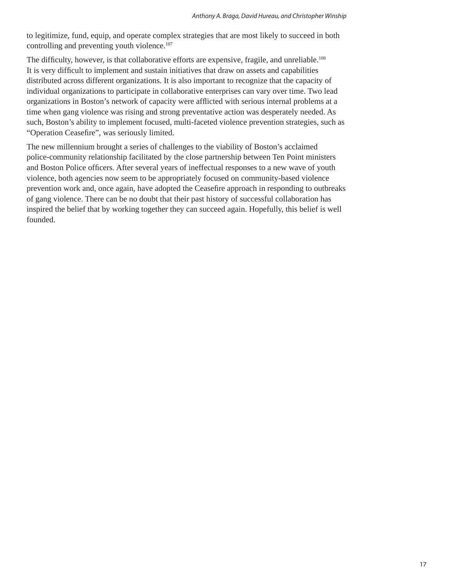to legitimize, fund, equip, and operate complex strategies that are most likely to succeed in both controlling and preventing youth violence.<sup>107</sup>

The difficulty, however, is that collaborative efforts are expensive, fragile, and unreliable.<sup>108</sup> It is very difficult to implement and sustain initiatives that draw on assets and capabilities distributed across different organizations. It is also important to recognize that the capacity of individual organizations to participate in collaborative enterprises can vary over time. Two lead organizations in Boston's network of capacity were afflicted with serious internal problems at a time when gang violence was rising and strong preventative action was desperately needed. As such, Boston's ability to implement focused, multi-faceted violence prevention strategies, such as "Operation Ceasefire", was seriously limited.

The new millennium brought a series of challenges to the viability of Boston's acclaimed police-community relationship facilitated by the close partnership between Ten Point ministers and Boston Police officers. After several years of ineffectual responses to a new wave of youth violence, both agencies now seem to be appropriately focused on community-based violence prevention work and, once again, have adopted the Ceasefire approach in responding to outbreaks of gang violence. There can be no doubt that their past history of successful collaboration has inspired the belief that by working together they can succeed again. Hopefully, this belief is well founded.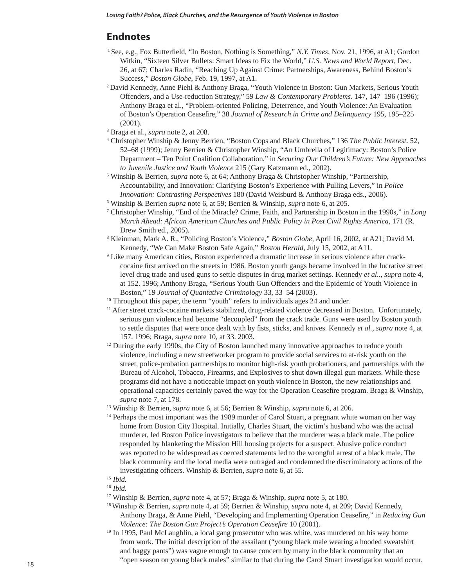## **Endnotes**

- <sup>1</sup> See, e.g., Fox Butterfield, "In Boston, Nothing is Something," *N.Y. Times*, Nov. 21, 1996, at A1; Gordon Witkin, "Sixteen Silver Bullets: Smart Ideas to Fix the World," *U.S. News and World Report*, Dec. 26, at 67; Charles Radin, "Reaching Up Against Crime: Partnerships, Awareness, Behind Boston's Success," *Boston Globe*, Feb. 19, 1997, at A1. 2 David Kennedy, Anne Piehl & Anthony Braga, "Youth Violence in Boston: Gun Markets, Serious Youth
- Offenders, and a Use-reduction Strategy," 59 *Law & Contemporary Problems*. 147, 147–196 (1996); Anthony Braga et al., "Problem-oriented Policing, Deterrence, and Youth Violence: An Evaluation of Boston's Operation Ceasefire," 38 *Journal of Research in Crime and Delinquency* 195, 195–225  $(2001).$ <sup>3</sup> Braga et al.
- <sup>3</sup> Braga et al., *supra* note 2, at 208.<br><sup>4</sup> Christopher Winshin & Jenny Ber
- Christopher Winship & Jenny Berrien, "Boston Cops and Black Churches," 136 *The Public Interest*. 52, 52–68 (1999); Jenny Berrien & Christopher Winship, "An Umbrella of Legitimacy: Boston's Police Department – Ten Point Coalition Collaboration," in *Securing Our Children's Future: New Approaches to Juvenile Justice and Youth Violence* 215 (Gary Katzmann ed., 2002).
- 5 Winship & Berrien, *supra* note 6, at 64; Anthony Braga & Christopher Winship, "Partnership, Accountability, and Innovation: Clarifying Boston's Experience with Pulling Levers," in *Police Innovation: Contrasting Perspectives* 180 (David Weisburd & Anthony Braga eds., 2006).
- 6 Winship & Berrien *supra* note 6, at 59; Berrien & Winship, *supra* note 6, at 205.
- 7 Christopher Winship, "End of the Miracle? Crime, Faith, and Partnership in Boston in the 1990s," in *Long March Ahead: African American Churches and Public Policy in Post Civil Rights America*, 171 (R. Drew Smith ed., 2005).
- Kleinman, Mark A. R., "Policing Boston's Violence," *Boston Globe*, April 16, 2002, at A21; David M. Kennedy, "We Can Make Boston Safe Again," *Boston Herald*, July 15, 2002, at A11.
- 9 Like many American cities, Boston experienced a dramatic increase in serious violence after crackcocaine first arrived on the streets in 1986. Boston youth gangs became involved in the lucrative street level drug trade and used guns to settle disputes in drug market settings. Kennedy *et al.*., *supra* note 4, at 152. 1996; Anthony Braga, "Serious Youth Gun Offenders and the Epidemic of Youth Violence in Boston," 19 *Journal of Quantative Criminology* 33, 33–54 (2003).
- <sup>10</sup> Throughout this paper, the term "youth" refers to individuals ages 24 and under.
- <sup>11</sup> After street crack-cocaine markets stabilized, drug-related violence decreased in Boston. Unfortunately, serious gun violence had become "decoupled" from the crack trade. Guns were used by Boston youth to settle disputes that were once dealt with by fists, sticks, and knives. Kennedy *et al.*, *supra* note 4, at 157. 1996; Braga, *supra* note 10, at 33. 2003.
- <sup>12</sup> During the early 1990s, the City of Boston launched many innovative approaches to reduce youth violence, including a new streetworker program to provide social services to at-risk youth on the street, police-probation partnerships to monitor high-risk youth probationers, and partnerships with the Bureau of Alcohol, Tobacco, Firearms, and Explosives to shut down illegal gun markets. While these programs did not have a noticeable impact on youth violence in Boston, the new relationships and operational capacities certainly paved the way for the Operation Ceasefire program. Braga  $\&$  Winship, *supra* note 7, at 178. 13 Winship & Berrien, *supra* note 6, at 56; Berrien & Winship, *supra* note 6, at 206.
- 
- <sup>14</sup> Perhaps the most important was the 1989 murder of Carol Stuart, a pregnant white woman on her way home from Boston City Hospital. Initially, Charles Stuart, the victim's husband who was the actual murderer, led Boston Police investigators to believe that the murderer was a black male. The police responded by blanketing the Mission Hill housing projects for a suspect. Abusive police conduct was reported to be widespread as coerced statements led to the wrongful arrest of a black male. The black community and the local media were outraged and condemned the discriminatory actions of the investigating officers. Winship & Berrien, *supra* note 6, at 55.<br><sup>15</sup> *Ibid.*

<sup>16</sup> *Ibid.*

17 Winship & Berrien, *supra* note 4, at 57; Braga & Winship, *supra* note 5, at 180.

- 18 Winship & Berrien, *supra* note 4, at 59; Berrien & Winship, *supra* note 4, at 209; David Kennedy, Anthony Braga, & Anne Piehl, "Developing and Implementing Operation Ceasefire," in *Reducing Gun Violence: The Boston Gun Project's Operation Ceasefire 10 (2001).*
- <sup>19</sup> In 1995, Paul McLaughlin, a local gang prosecutor who was white, was murdered on his way home from work. The initial description of the assailant ("young black male wearing a hooded sweatshirt and baggy pants") was vague enough to cause concern by many in the black community that an "open season on young black males" similar to that during the Carol Stuart investigation would occur.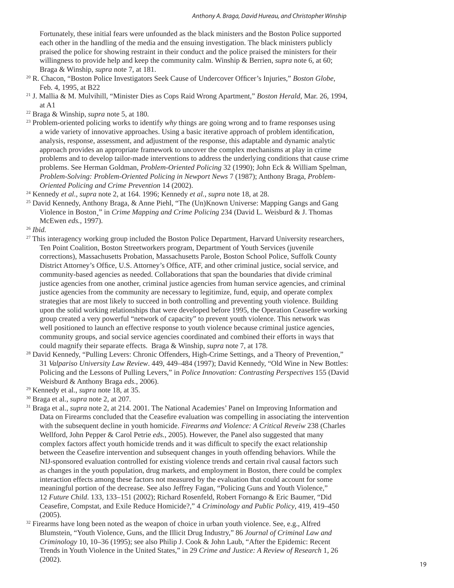Fortunately, these initial fears were unfounded as the black ministers and the Boston Police supported each other in the handling of the media and the ensuing investigation. The black ministers publicly praised the police for showing restraint in their conduct and the police praised the ministers for their willingness to provide help and keep the community calm. Winship & Berrien, *supra* note 6, at 60; Braga & Winship, *supra* note 7, at 181.

- <sup>20</sup> R. Chacon, "Boston Police Investigators Seek Cause of Undercover Officer's Injuries," *Boston Globe*, Feb. 4, 1995, at B22
- 21 J. Mallia & M. Mulvihill, "Minister Dies as Cops Raid Wrong Apartment," *Boston Herald*, Mar. 26, 1994, at A1
- 
- 22 Braga & Winship, *supra* note 5, at 180. 23 Problem-oriented policing works to identify *why* things are going wrong and to frame responses using a wide variety of innovative approaches. Using a basic iterative approach of problem identification, analysis, response, assessment, and adjustment of the response, this adaptable and dynamic analytic approach provides an appropriate framework to uncover the complex mechanisms at play in crime problems and to develop tailor-made interventions to address the underlying conditions that cause crime problems. See Herman Goldman, *Problem-Oriented Policing* 32 (1990); John Eck & William Spelman, *Problem-Solving: Problem-Oriented Policing in Newport News* 7 (1987); Anthony Braga, *Problem-Oriented Policing and Crime Prevention* 14 (2002).
- 24 Kennedy *et al.*, *supra* note 2, at 164. 1996; Kennedy *et al.*, *supra* note 18, at 28.
- 25 David Kennedy, Anthony Braga, & Anne Piehl, "The (Un)Known Universe: Mapping Gangs and Gang Violence in Boston¸" in *Crime Mapping and Crime Policing* 234 (David L. Weisburd & J. Thomas McEwen *eds.*, 1997).
- <sup>26</sup> *Ibid.*
- <sup>27</sup> This interagency working group included the Boston Police Department, Harvard University researchers, Ten Point Coalition, Boston Streetworkers program, Department of Youth Services (juvenile corrections), Massachusetts Probation, Massachusetts Parole, Boston School Police, Suffolk County District Attorney's Office, U.S. Attorney's Office, ATF, and other criminal justice, social service, and community-based agencies as needed. Collaborations that span the boundaries that divide criminal justice agencies from one another, criminal justice agencies from human service agencies, and criminal justice agencies from the community are necessary to legitimize, fund, equip, and operate complex strategies that are most likely to succeed in both controlling and preventing youth violence. Building upon the solid working relationships that were developed before 1995, the Operation Ceasefire working group created a very powerful "network of capacity" to prevent youth violence. This network was well positioned to launch an effective response to youth violence because criminal justice agencies, community groups, and social service agencies coordinated and combined their efforts in ways that could magnify their separate effects. Braga & Winship, *supra* note 7, at 178.
- 28 David Kennedy, "Pulling Levers: Chronic Offenders, High-Crime Settings, and a Theory of Prevention," 31 *Valpariso University Law Review*. 449, 449–484 (1997); David Kennedy, "Old Wine in New Bottles: Policing and the Lessons of Pulling Levers," in *Police Innovation: Contrasting Perspectives* 155 (David Weisburd & Anthony Braga *eds.*, 2006).
- 
- 
- <sup>29</sup> Kennedy et al., *supra* note 18, at 35.<br><sup>30</sup> Braga et al., *supra* note 2, at 207.<br><sup>31</sup> Braga et al., *supra* note 2, at 214. 2001. The National Academies' Panel on Improving Information and Data on Firearms concluded that the Ceasefire evaluation was compelling in associating the intervention with the subsequent decline in youth homicide. *Firearms and Violence: A Critical Reveiw* 238 (Charles Wellford, John Pepper & Carol Petrie *eds.*, 2005). However, the Panel also suggested that many complex factors affect youth homicide trends and it was difficult to specify the exact relationship between the Ceasefire intervention and subsequent changes in youth offending behaviors. While the NIJ-sponsored evaluation controlled for existing violence trends and certain rival causal factors such as changes in the youth population, drug markets, and employment in Boston, there could be complex interaction effects among these factors not measured by the evaluation that could account for some meaningful portion of the decrease. See also Jeffrey Fagan, "Policing Guns and Youth Violence," 12 *Future Child*. 133, 133–151 (2002); Richard Rosenfeld, Robert Fornango & Eric Baumer, "Did Ceasefire, Compstat, and Exile Reduce Homicide?," 4 *Criminology and Public Policy*, 419, 419–450 (2005).
- $32$  Firearms have long been noted as the weapon of choice in urban youth violence. See, e.g., Alfred Blumstein, "Youth Violence, Guns, and the Illicit Drug Industry," 86 *Journal of Criminal Law and Criminology* 10, 10–36 (1995); see also Philip J. Cook & John Laub, "After the Epidemic: Recent Trends in Youth Violence in the United States," in 29 *Crime and Justice: A Review of Research* 1, 26 (2002).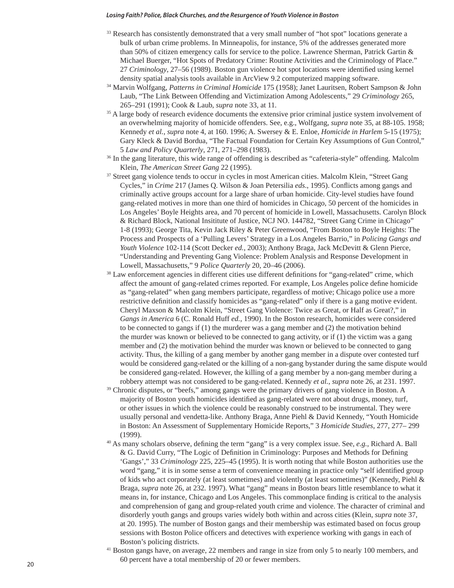- <sup>33</sup> Research has consistently demonstrated that a very small number of "hot spot" locations generate a bulk of urban crime problems. In Minneapolis, for instance, 5% of the addresses generated more than 50% of citizen emergency calls for service to the police. Lawrence Sherman, Patrick Gartin & Michael Buerger, "Hot Spots of Predatory Crime: Routine Activities and the Criminology of Place." 27 *Criminology*, 27–56 (1989). Boston gun violence hot spot locations were identified using kernel density spatial analysis tools available in ArcView 9.2 computerized mapping software. 34 Marvin Wolfgang, *Patterns in Criminal Homicide* 175 (1958); Janet Lauritsen, Robert Sampson & John
- Laub, "The Link Between Offending and Victimization Among Adolescents," 29 *Criminology* 265, 265–291 (1991); Cook & Laub, *supra* note 33, at 11.
- <sup>35</sup> A large body of research evidence documents the extensive prior criminal justice system involvement of an overwhelming majority of homicide offenders. See, e.g., Wolfgang, *supra* note 35, at 88-105. 1958; Kennedy *et al.*, *supra* note 4, at 160. 1996; A. Swersey & E. Enloe, *Homicide in Harlem* 5-15 (1975); Gary Kleck & David Bordua, "The Factual Foundation for Certain Key Assumptions of Gun Control," 5 *Law and Policy Quarterly*, 271, 271–298 (1983).
- 36 In the gang literature, this wide range of offending is described as "cafeteria-style" offending. Malcolm Klein, *The American Street Gang* 22 (1995).
- 37 Street gang violence tends to occur in cycles in most American cities. Malcolm Klein, "Street Gang Cycles," in *Crime* 217 (James Q. Wilson & Joan Petersilia *eds.*, 1995). Conflicts among gangs and criminally active groups account for a large share of urban homicide. City-level studies have found gang-related motives in more than one third of homicides in Chicago, 50 percent of the homicides in Los Angeles' Boyle Heights area, and 70 percent of homicide in Lowell, Massachusetts. Carolyn Block & Richard Block, National Insititute of Justice, NCJ NO. 144782, "Street Gang Crime in Chicago" 1-8 (1993); George Tita, Kevin Jack Riley & Peter Greenwood, "From Boston to Boyle Heights: The Process and Prospects of a 'Pulling Levers' Strategy in a Los Angeles Barrio," in *Policing Gangs and Youth Violence* 102-114 (Scott Decker *ed.*, 2003); Anthony Braga, Jack McDevitt & Glenn Pierce, "Understanding and Preventing Gang Violence: Problem Analysis and Response Development in Lowell, Massachusetts," 9 *Police Quarterly* 20, 20–46 (2006).
- <sup>38</sup> Law enforcement agencies in different cities use different definitions for "gang-related" crime, which affect the amount of gang-related crimes reported. For example, Los Angeles police define homicide as "gang-related" when gang members participate, regardless of motive; Chicago police use a more restrictive definition and classify homicides as "gang-related" only if there is a gang motive evident. Cheryl Maxson & Malcolm Klein, "Street Gang Violence: Twice as Great, or Half as Great?," in *Gangs in America* 6 (C. Ronald Huff *ed.*, 1990). In the Boston research, homicides were considered to be connected to gangs if  $(1)$  the murderer was a gang member and  $(2)$  the motivation behind the murder was known or believed to be connected to gang activity, or if (1) the victim was a gang member and (2) the motivation behind the murder was known or believed to be connected to gang activity. Thus, the killing of a gang member by another gang member in a dispute over contested turf would be considered gang-related or the killing of a non-gang bystander during the same dispute would be considered gang-related. However, the killing of a gang member by a non-gang member during a robbery attempt was not considered to be gang-related. Kennedy *et al.*, *supra* note 26, at 231. 1997.
- <sup>39</sup> Chronic disputes, or "beefs," among gangs were the primary drivers of gang violence in Boston. A majority of Boston youth homicides identified as gang-related were not about drugs, money, turf, or other issues in which the violence could be reasonably construed to be instrumental. They were usually personal and vendetta-like. Anthony Braga, Anne Piehl & David Kennedy, "Youth Homicide in Boston: An Assessment of Supplementary Homicide Reports," 3 *Homicide Studies*, 277, 277– 299 (1999).  $^{40}$  As many scholars observe, defining the term "gang" is a very complex issue. See, *e.g.*, Richard A. Ball
- & G. David Curry, "The Logic of Definition in Criminology: Purposes and Methods for Defining 'Gangs'," 33 *Criminology* 225, 225–45 (1995). It is worth noting that while Boston authorities use the word "gang," it is in some sense a term of convenience meaning in practice only "self identified group of kids who act corporately (at least sometimes) and violently (at least sometimes)" (Kennedy, Piehl & Braga, *supra* note 26, at 232. 1997). What "gang" means in Boston bears little resemblance to what it means in, for instance, Chicago and Los Angeles. This commonplace finding is critical to the analysis and comprehension of gang and group-related youth crime and violence. The character of criminal and disorderly youth gangs and groups varies widely both within and across cities (Klein, *supra* note 37, at 20. 1995). The number of Boston gangs and their membership was estimated based on focus group sessions with Boston Police officers and detectives with experience working with gangs in each of Boston's policing districts.
- 41 Boston gangs have, on average, 22 members and range in size from only 5 to nearly 100 members, and 60 percent have a total membership of 20 or fewer members.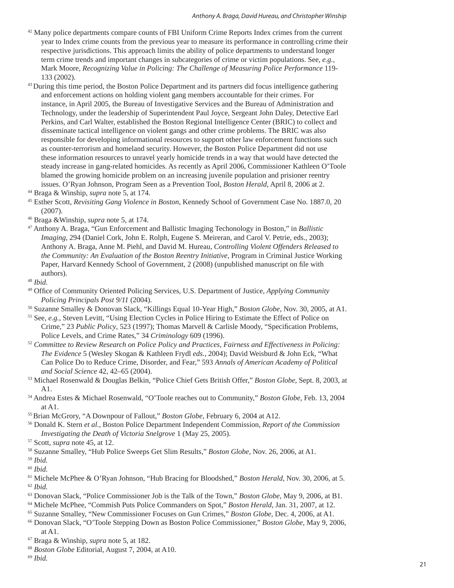- <sup>42</sup> Many police departments compare counts of FBI Uniform Crime Reports Index crimes from the current year to Index crime counts from the previous year to measure its performance in controlling crime their respective jurisdictions. This approach limits the ability of police departments to understand longer term crime trends and important changes in subcategories of crime or victim populations. See, *e.g.*, Mark Moore, *Recognizing Value in Policing: The Challenge of Measuring Police Performance* 119- 133 (2002).
- <sup>43</sup> During this time period, the Boston Police Department and its partners did focus intelligence gathering and enforcement actions on holding violent gang members accountable for their crimes. For instance, in April 2005, the Bureau of Investigative Services and the Bureau of Administration and Technology, under the leadership of Superintendent Paul Joyce, Sergeant John Daley, Detective Earl Perkins, and Carl Walter, established the Boston Regional Intelligence Center (BRIC) to collect and disseminate tactical intelligence on violent gangs and other crime problems. The BRIC was also responsible for developing informational resources to support other law enforcement functions such as counter-terrorism and homeland security. However, the Boston Police Department did not use these information resources to unravel yearly homicide trends in a way that would have detected the steady increase in gang-related homicides. As recently as April 2006, Commissioner Kathleen O'Toole blamed the growing homicide problem on an increasing juvenile population and prisioner reentry issues. O'Ryan Johnson, Program Seen as a Prevention Tool, *Boston Herald*, April 8, 2006 at 2. 44 Braga & Winship, *supra* note 5, at 174.
- 
- 45 Esther Scott, *Revisiting Gang Violence in Boston*, Kennedy School of Government Case No. 1887.0, 20 (2007).
- 46 Braga &Winship, *supra* note 5, at 174.
- 47 Anthony A. Braga, "Gun Enforcement and Ballistic Imaging Techonology in Boston," in *Ballistic Imaging*, 294 (Daniel Cork, John E. Rolph, Eugene S. Meireran, and Carol V. Petrie, eds., 2003); Anthony A. Braga, Anne M. Piehl, and David M. Hureau, *Controlling Violent Offenders Released to the Community: An Evaluation of the Boston Reentry Initiative*, Program in Criminal Justice Working Paper, Harvard Kennedy School of Government, 2 (2008) (unpublished manuscript on file with authors).
- <sup>48</sup> *Ibid.*
- <sup>49</sup> Office of Community Oriented Policing Services, U.S. Department of Justice, *Applying Community Policing Principals Post 9/11* (2004).
- 50 Suzanne Smalley & Donovan Slack, "Killings Equal 10-Year High," *Boston Globe*, Nov. 30, 2005, at A1. 51 See, *e.g.*, Steven Levitt, "Using Election Cycles in Police Hiring to Estimate the Effect of Police on
- Crime," 23 *Public Policy*, 523 (1997); Thomas Marvell & Carlisle Moody, "Specification Problems, Police Levels, and Crime Rates," 34 *Criminology* 609 (1996).
- <sup>52</sup> *Committee to Review Research on Police Policy and Practices, Fairness and Effectiveness in Policing: The Evidence* 5 (Wesley Skogan & Kathleen Frydl *eds.,* 2004); David Weisburd & John Eck, "What Can Police Do to Reduce Crime, Disorder, and Fear," 593 *Annals of American Academy of Political and Social Science* 42, 42–65 (2004).
- 53 Michael Rosenwald & Douglas Belkin, "Police Chief Gets British Offer," *Boston Globe*, Sept. 8, 2003, at A1. 54 Andrea Estes & Michael Rosenwald, "O'Toole reaches out to Community," *Boston Globe*, Feb. 13, 2004
- 
- at A1. 55 Brian McGrory, "A Downpour of Fallout," *Boston Globe*, February 6, 2004 at A12.
- 56 Donald K. Stern *et al.*, Boston Police Department Independent Commission, *Report of the Commission Investigating the Death of Victoria Snelgrove* 1 (May 25, 2005).
- 57 Scott, *supra* note 45, at 12.
- 58 Suzanne Smalley, "Hub Police Sweeps Get Slim Results," *Boston Globe*, Nov. 26, 2006, at A1.
- <sup>59</sup> *Ibid.* 60 *Ibid.*
- 

- 
- <sup>63</sup> Donovan Slack, "Police Commissioner Job is the Talk of the Town," *Boston Globe*, May 9, 2006, at B1.<br><sup>64</sup> Michele McPhee, "Commish Puts Police Commanders on Spot," *Boston Herald*, Jan. 31, 2007, at 12.<br><sup>65</sup> Suzanne
- 
- at A1. 67 Braga & Winship, *supra* note 5, at 182.
- 
- <sup>68</sup> *Boston Globe* Editorial, August 7, 2004, at A10. 69 *Ibid.*

<sup>&</sup>lt;sup>61</sup> Michele McPhee & O'Ryan Johnson, "Hub Bracing for Bloodshed," *Boston Herald*, Nov. 30, 2006, at 5. <sup>62</sup> *Ibid.*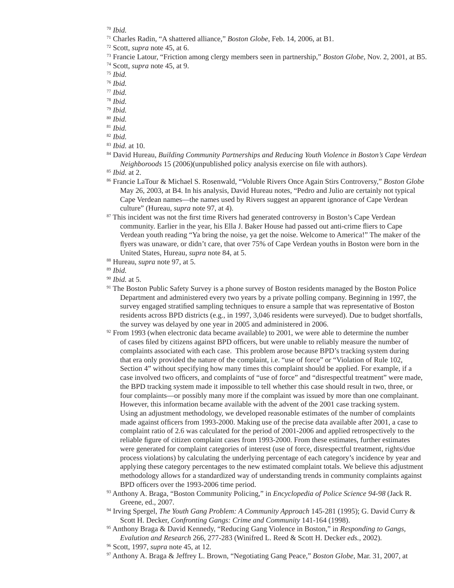- 71 Charles Radin, "A shattered alliance," *Boston Globe*, Feb. 14, 2006, at B1.
- 72 Scott, *supra* note 45, at 6.
- 73 Francie Latour, "Friction among clergy members seen in partnership," *Boston Globe,* Nov. 2, 2001, at B5. 74 Scott, *supra* note 45, at 9.
- 

- <sup>76</sup> *Ibid.*
- <sup>77</sup> *Ibid.*
- <sup>78</sup> *Ibid.*
- <sup>79</sup> *Ibid.*
- <sup>80</sup> *Ibid.*
- <sup>81</sup> *Ibid.*
- <sup>82</sup> *Ibid.*
- <sup>83</sup> *Ibid.* at 10.
- 84 David Hureau, *Building Community Partnerships and Reducing Youth Violence in Boston's Cape Verdean Neighboroods* 15 (2006)(unpublished policy analysis exercise on file with authors). <sup>85</sup> *Ibid.* at 2.

- 86 Francie LaTour & Michael S. Rosenwald, "Voluble Rivers Once Again Stirs Controversy," *Boston Globe* May 26, 2003, at B4. In his analysis, David Hureau notes, "Pedro and Julio are certainly not typical Cape Verdean names—the names used by Rivers suggest an apparent ignorance of Cape Verdean culture" (Hureau, *supra* note 97, at 4).<br><sup>87</sup> This incident was not the first time Rivers had generated controversy in Boston's Cape Verdean
- community. Earlier in the year, his Ella J. Baker House had passed out anti-crime fliers to Cape Verdean youth reading "Ya bring the noise, ya get the noise. Welcome to America!" The maker of the flyers was unaware, or didn't care, that over 75% of Cape Verdean youths in Boston were born in the United States, Hureau, *supra* note 84, at 5.

<sup>89</sup> *Ibid.*

- <sup>90</sup> *Ibid.* at 5.
- <sup>91</sup> The Boston Public Safety Survey is a phone survey of Boston residents managed by the Boston Police Department and administered every two years by a private polling company. Beginning in 1997, the survey engaged stratified sampling techniques to ensure a sample that was representative of Boston residents across BPD districts (e.g., in 1997, 3,046 residents were surveyed). Due to budget shortfalls, the survey was delayed by one year in 2005 and administered in 2006.
- $92$  From 1993 (when electronic data became available) to 2001, we were able to determine the number of cases filed by citizens against BPD officers, but were unable to reliably measure the number of complaints associated with each case. This problem arose because BPD's tracking system during that era only provided the nature of the complaint, i.e. "use of force" or "Violation of Rule 102, Section 4" without specifying how many times this complaint should be applied. For example, if a case involved two officers, and complaints of "use of force" and "disrespectful treatment" were made, the BPD tracking system made it impossible to tell whether this case should result in two, three, or four complaints—or possibly many more if the complaint was issued by more than one complainant. However, this information became available with the advent of the 2001 case tracking system. Using an adjustment methodology, we developed reasonable estimates of the number of complaints made against officers from 1993-2000. Making use of the precise data available after 2001, a case to complaint ratio of 2.6 was calculated for the period of 2001-2006 and applied retrospectively to the reliable figure of citizen complaint cases from 1993-2000. From these estimates, further estimates were generated for complaint categories of interest (use of force, disrespectful treatment, rights/due process violations) by calculating the underlying percentage of each category's incidence by year and applying these category percentages to the new estimated complaint totals. We believe this adjustment methodology allows for a standardized way of understanding trends in community complaints against BPD officers over the 1993-2006 time period.
- 93 Anthony A. Braga, "Boston Community Policing," in *Encyclopedia of Police Science 94-98* (Jack R. Greene, ed., 2007.
- 94 Irving Spergel, *The Youth Gang Problem: A Community Approach* 145-281 (1995); G. David Curry & Scott H. Decker, *Confronting Gangs: Crime and Community* 141-164 (1998).
- 95 Anthony Braga & David Kennedy, "Reducing Gang Violence in Boston," in *Responding to Gangs, Evalution and Research* 266, 277-283 (Winifred L. Reed & Scott H. Decker *eds.*, 2002). 96 Scott, 1997, *supra* note 45, at 12.

97 Anthony A. Braga & Jeffrey L. Brown, "Negotiating Gang Peace," *Boston Globe*, Mar. 31, 2007, at

<sup>70</sup> *Ibid.*

<sup>75</sup> *Ibid.*

<sup>88</sup> Hureau, *supra* note 97, at 5.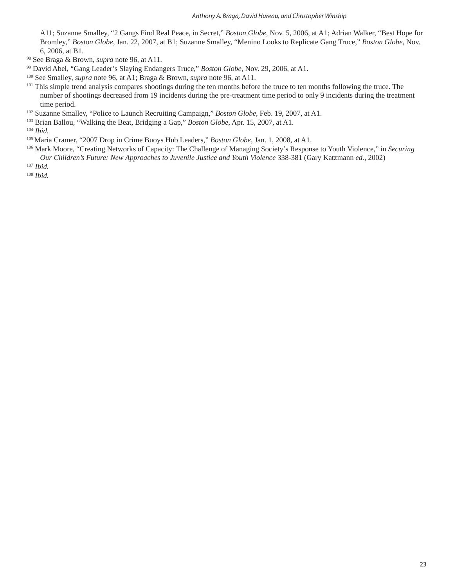A11; Suzanne Smalley, "2 Gangs Find Real Peace, in Secret," *Boston Globe*, Nov. 5, 2006, at A1; Adrian Walker, "Best Hope for Bromley," *Boston Globe*, Jan. 22, 2007, at B1; Suzanne Smalley, "Menino Looks to Replicate Gang Truce," *Boston Globe*, Nov. 6, 2006, at B1.

- <sup>98</sup> See Braga & Brown, *supra* note 96, at A11.<br><sup>99</sup> David Abel, "Gang Leader's Slaying Endangers Truce," *Boston Globe*, Nov. 29, 2006, at A1.
- <sup>100</sup> See Smalley, *supra* note 96, at A1; Braga & Brown, *supra* note 96, at A11.
- <sup>101</sup> This simple trend analysis compares shootings during the ten months before the truce to ten months following the truce. The number of shootings decreased from 19 incidents during the pre-treatment time period to only 9 incidents during the treatment time period.
- 102 Suzanne Smalley, "Police to Launch Recruiting Campaign," *Boston Globe*, Feb. 19, 2007, at A1.
- 103 Brian Ballou, "Walking the Beat, Bridging a Gap," *Boston Globe*, Apr. 15, 2007, at A1.

<sup>104</sup> *Ibid.*

- 105 Maria Cramer, "2007 Drop in Crime Buoys Hub Leaders," *Boston Globe*, Jan. 1, 2008, at A1.
- 106 Mark Moore, "Creating Networks of Capacity: The Challenge of Managing Society's Response to Youth Violence," in *Securing Our Children's Future: New Approaches to Juvenile Justice and Youth Violence* 338-381 (Gary Katzmann *ed.*, 2002)

<sup>107</sup> *Ibid.*

<sup>108</sup> *Ibid.*